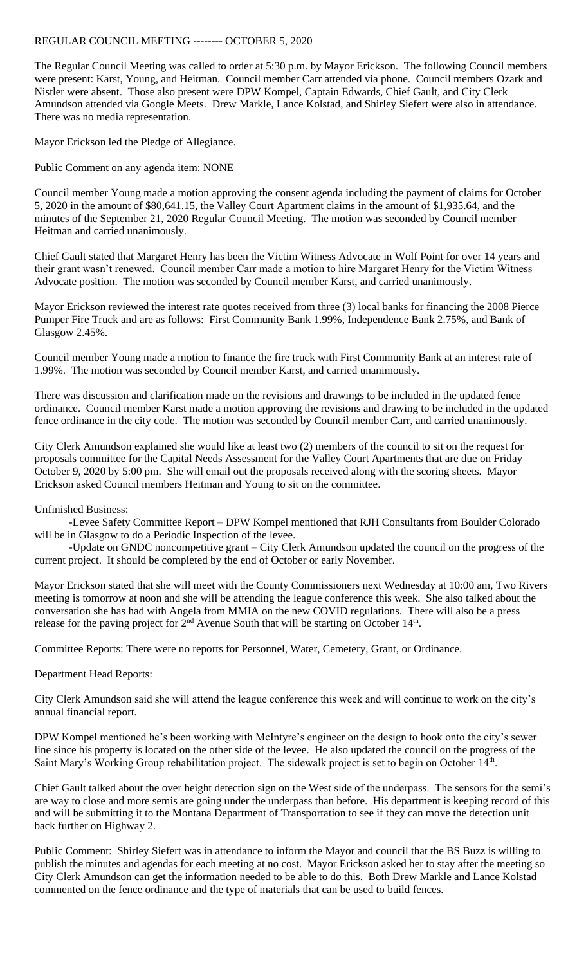## REGULAR COUNCIL MEETING -------- OCTOBER 5, 2020

The Regular Council Meeting was called to order at 5:30 p.m. by Mayor Erickson. The following Council members were present: Karst, Young, and Heitman. Council member Carr attended via phone. Council members Ozark and Nistler were absent. Those also present were DPW Kompel, Captain Edwards, Chief Gault, and City Clerk Amundson attended via Google Meets. Drew Markle, Lance Kolstad, and Shirley Siefert were also in attendance. There was no media representation.

Mayor Erickson led the Pledge of Allegiance.

Public Comment on any agenda item: NONE

Council member Young made a motion approving the consent agenda including the payment of claims for October 5, 2020 in the amount of \$80,641.15, the Valley Court Apartment claims in the amount of \$1,935.64, and the minutes of the September 21, 2020 Regular Council Meeting. The motion was seconded by Council member Heitman and carried unanimously.

Chief Gault stated that Margaret Henry has been the Victim Witness Advocate in Wolf Point for over 14 years and their grant wasn't renewed. Council member Carr made a motion to hire Margaret Henry for the Victim Witness Advocate position. The motion was seconded by Council member Karst, and carried unanimously.

Mayor Erickson reviewed the interest rate quotes received from three (3) local banks for financing the 2008 Pierce Pumper Fire Truck and are as follows: First Community Bank 1.99%, Independence Bank 2.75%, and Bank of Glasgow 2.45%.

Council member Young made a motion to finance the fire truck with First Community Bank at an interest rate of 1.99%. The motion was seconded by Council member Karst, and carried unanimously.

There was discussion and clarification made on the revisions and drawings to be included in the updated fence ordinance. Council member Karst made a motion approving the revisions and drawing to be included in the updated fence ordinance in the city code. The motion was seconded by Council member Carr, and carried unanimously.

City Clerk Amundson explained she would like at least two (2) members of the council to sit on the request for proposals committee for the Capital Needs Assessment for the Valley Court Apartments that are due on Friday October 9, 2020 by 5:00 pm. She will email out the proposals received along with the scoring sheets. Mayor Erickson asked Council members Heitman and Young to sit on the committee.

## Unfinished Business:

-Levee Safety Committee Report – DPW Kompel mentioned that RJH Consultants from Boulder Colorado will be in Glasgow to do a Periodic Inspection of the levee.

-Update on GNDC noncompetitive grant – City Clerk Amundson updated the council on the progress of the current project. It should be completed by the end of October or early November.

Mayor Erickson stated that she will meet with the County Commissioners next Wednesday at 10:00 am, Two Rivers meeting is tomorrow at noon and she will be attending the league conference this week. She also talked about the conversation she has had with Angela from MMIA on the new COVID regulations. There will also be a press release for the paving project for  $2<sup>nd</sup>$  Avenue South that will be starting on October 14<sup>th</sup>.

Committee Reports: There were no reports for Personnel, Water, Cemetery, Grant, or Ordinance.

## Department Head Reports:

City Clerk Amundson said she will attend the league conference this week and will continue to work on the city's annual financial report.

DPW Kompel mentioned he's been working with McIntyre's engineer on the design to hook onto the city's sewer line since his property is located on the other side of the levee. He also updated the council on the progress of the Saint Mary's Working Group rehabilitation project. The sidewalk project is set to begin on October 14<sup>th</sup>.

Chief Gault talked about the over height detection sign on the West side of the underpass. The sensors for the semi's are way to close and more semis are going under the underpass than before. His department is keeping record of this and will be submitting it to the Montana Department of Transportation to see if they can move the detection unit back further on Highway 2.

Public Comment: Shirley Siefert was in attendance to inform the Mayor and council that the BS Buzz is willing to publish the minutes and agendas for each meeting at no cost. Mayor Erickson asked her to stay after the meeting so City Clerk Amundson can get the information needed to be able to do this. Both Drew Markle and Lance Kolstad commented on the fence ordinance and the type of materials that can be used to build fences.